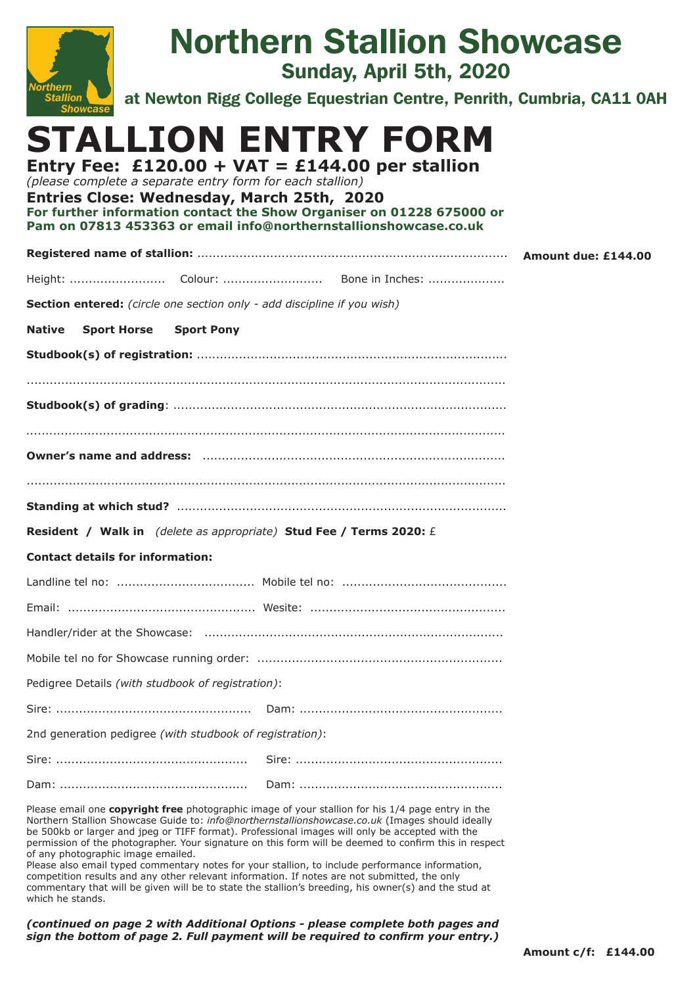| <b>Northern</b><br><b>Stallion</b><br><b>Showcas</b>                                                                                                                                                                           | <b>Northern Stallion Showcase</b><br>Sunday, April 5th, 2020<br>at Newton Rigg College Equestrian Centre, Penrith, Cumbria, CA11 0AH |  |
|--------------------------------------------------------------------------------------------------------------------------------------------------------------------------------------------------------------------------------|--------------------------------------------------------------------------------------------------------------------------------------|--|
| Entry Fee: £120.00 + VAT = £144.00 per stallion<br>(please complete a separate entry form for each stallion)<br>Entries Close: Wednesday, March 25th, 2020<br>Pam on 07813 453363 or email info@northernstallionshowcase.co.uk | STALLION ENTRY FORM<br>For further information contact the Show Organiser on 01228 675000 or                                         |  |
|                                                                                                                                                                                                                                |                                                                                                                                      |  |
|                                                                                                                                                                                                                                |                                                                                                                                      |  |
| Section entered: (circle one section only - add discipline if you wish)                                                                                                                                                        |                                                                                                                                      |  |
| Native<br><b>Sport Horse Sport Pony</b>                                                                                                                                                                                        |                                                                                                                                      |  |
|                                                                                                                                                                                                                                |                                                                                                                                      |  |
|                                                                                                                                                                                                                                |                                                                                                                                      |  |
|                                                                                                                                                                                                                                |                                                                                                                                      |  |
|                                                                                                                                                                                                                                |                                                                                                                                      |  |
|                                                                                                                                                                                                                                |                                                                                                                                      |  |
| Resident / Walk in (delete as appropriate) Stud Fee / Terms 2020: £                                                                                                                                                            |                                                                                                                                      |  |
| <b>Contact details for information:</b>                                                                                                                                                                                        |                                                                                                                                      |  |
|                                                                                                                                                                                                                                |                                                                                                                                      |  |
|                                                                                                                                                                                                                                |                                                                                                                                      |  |
|                                                                                                                                                                                                                                |                                                                                                                                      |  |
|                                                                                                                                                                                                                                |                                                                                                                                      |  |
| Pedigree Details (with studbook of registration):                                                                                                                                                                              |                                                                                                                                      |  |
|                                                                                                                                                                                                                                |                                                                                                                                      |  |
| 2nd generation pedigree (with studbook of registration):                                                                                                                                                                       |                                                                                                                                      |  |
|                                                                                                                                                                                                                                |                                                                                                                                      |  |
|                                                                                                                                                                                                                                |                                                                                                                                      |  |
|                                                                                                                                                                                                                                | Please email one copyright free photographic image of your stallion for his 1/4 page entry in the                                    |  |

Northern Stallion Showcase Guide to: *info@northernstallionshowcase.co.uk* (Images should ideally be 500kb or larger and jpeg or TIFF format). Professional images will only be accepted with the permission of the photographer. Your signature on this form will be deemed to confirm this in respect of any photographic image emailed.

Please also email typed commentary notes for your stallion, to include performance information, competition results and any other relevant information. If notes are not submitted, the only commentary that will be given will be to state the stallion's breeding, his owner(s) and the stud at which he stands.

*(continued on page 2 with Additional Options - please complete both pages and sign the bottom of page 2. Full payment will be required to confirm your entry.)*